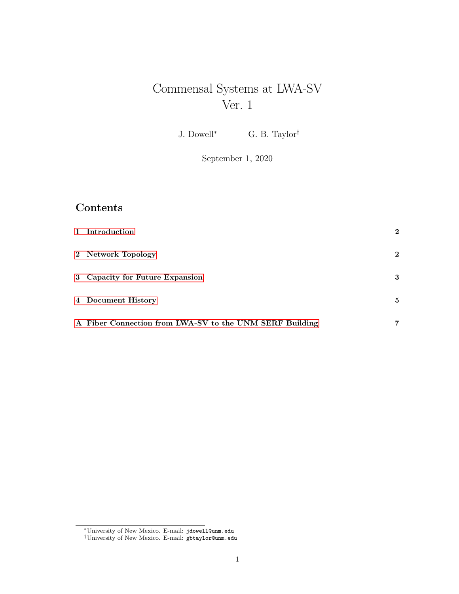# Commensal Systems at LWA-SV Ver. 1

J. Dowell<sup>\*</sup> G. B. Taylor<sup>†</sup>

September 1, 2020

## Contents

| 1 Introduction                                          | $\bf{2}$     |
|---------------------------------------------------------|--------------|
| 2 Network Topology                                      | $\mathbf{2}$ |
| 3 Capacity for Future Expansion                         | 3            |
| 4 Document History                                      | 5            |
| A Fiber Connection from LWA-SV to the UNM SERF Building | 7            |

<sup>∗</sup>University of New Mexico. E-mail: jdowell@unm.edu

<sup>†</sup>University of New Mexico. E-mail: gbtaylor@unm.edu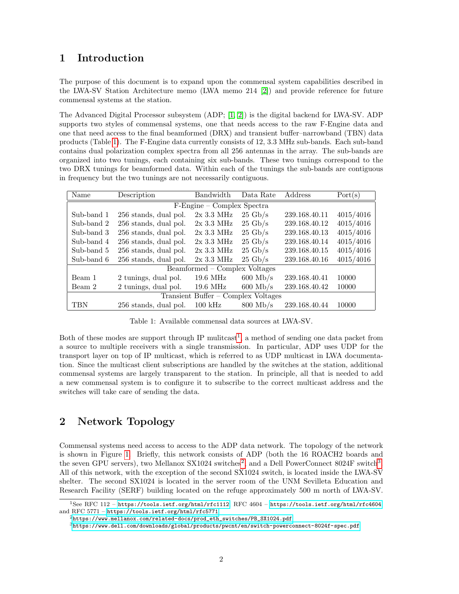#### <span id="page-1-0"></span>1 Introduction

The purpose of this document is to expand upon the commensal system capabilities described in the LWA-SV Station Architecture memo (LWA memo 214 [\[2\]](#page-5-0)) and provide reference for future commensal systems at the station.

The Advanced Digital Processor subsystem (ADP; [\[1,](#page-5-1) [2\]](#page-5-0)) is the digital backend for LWA-SV. ADP supports two styles of commensal systems, one that needs access to the raw F-Engine data and one that need access to the final beamformed (DRX) and transient buffer–narrowband (TBN) data products (Table [1\)](#page-1-2). The F-Engine data currently consists of 12, 3.3 MHz sub-bands. Each sub-band contains dual polarization complex spectra from all 256 antennas in the array. The sub-bands are organized into two tunings, each containing six sub-bands. These two tunings correspond to the two DRX tunings for beamformed data. Within each of the tunings the sub-bands are contiguous in frequency but the two tunings are not necessarily contiguous.

| Name                                | Description           | <b>Bandwidth</b>    | Data Rate          | Address       | Port(s)   |  |  |  |
|-------------------------------------|-----------------------|---------------------|--------------------|---------------|-----------|--|--|--|
| F-Engine – Complex Spectra          |                       |                     |                    |               |           |  |  |  |
| Sub-band 1                          | 256 stands, dual pol. | $2x\,3.3\,$ MHz     | $25 \text{ Gb/s}$  | 239.168.40.11 | 4015/4016 |  |  |  |
| Sub-band 2                          | 256 stands, dual pol. | $2x3.3 \text{ MHz}$ | $25 \text{ Gb/s}$  | 239.168.40.12 | 4015/4016 |  |  |  |
| Sub-band 3                          | 256 stands, dual pol. | $2x3.3 \text{ MHz}$ | $25 \text{ Gb/s}$  | 239.168.40.13 | 4015/4016 |  |  |  |
| Sub-band 4                          | 256 stands, dual pol. | $2x3.3 \text{ MHz}$ | $25 \text{ Gb/s}$  | 239.168.40.14 | 4015/4016 |  |  |  |
| Sub-band 5                          | 256 stands, dual pol. | $2x3.3 \text{ MHz}$ | $25 \text{ Gb/s}$  | 239.168.40.15 | 4015/4016 |  |  |  |
| Sub-band 6                          | 256 stands, dual pol. | $2x3.3 \text{ MHz}$ | $25 \text{ Gb/s}$  | 239.168.40.16 | 4015/4016 |  |  |  |
| Beamformed – Complex Voltages       |                       |                     |                    |               |           |  |  |  |
| Beam 1                              | 2 tunings, dual pol.  | $19.6 \text{ MHz}$  | $600$ Mb/s         | 239.168.40.41 | 10000     |  |  |  |
| Beam 2                              | 2 tunings, dual pol.  | $19.6 \text{ MHz}$  | $600$ Mb/s         | 239.168.40.42 | 10000     |  |  |  |
| Transient Buffer – Complex Voltages |                       |                     |                    |               |           |  |  |  |
| <b>TBN</b>                          | 256 stands, dual pol. | $100 \text{ kHz}$   | $800 \text{ Mb/s}$ | 239.168.40.44 | 10000     |  |  |  |

<span id="page-1-2"></span>Table 1: Available commensal data sources at LWA-SV.

Both of these modes are support through IP mulitcast<sup>[1](#page-1-3)</sup>, a method of sending one data packet from a source to multiple receivers with a single transmission. In particular, ADP uses UDP for the transport layer on top of IP multicast, which is referred to as UDP multicast in LWA documentation. Since the multicast client subscriptions are handled by the switches at the station, additional commensal systems are largely transparent to the station. In principle, all that is needed to add a new commensal system is to configure it to subscribe to the correct multicast address and the switches will take care of sending the data.

### <span id="page-1-1"></span>2 Network Topology

Commensal systems need access to access to the ADP data network. The topology of the network is shown in Figure [1.](#page-2-1) Briefly, this network consists of ADP (both the 16 ROACH2 boards and the seven GPU servers), two Mellanox SX10[2](#page-1-4)4 switches<sup>2</sup>, and a Dell PowerConnect 8024F switch<sup>[3](#page-1-5)</sup>. All of this network, with the exception of the second SX1024 switch, is located inside the LWA-SV shelter. The second SX1024 is located in the server room of the UNM Sevilleta Education and Research Facility (SERF) building located on the refuge approximately 500 m north of LWA-SV.

<span id="page-1-3"></span><sup>1</sup>See RFC 112 – <https://tools.ietf.org/html/rfc1112>, RFC 4604 – <https://tools.ietf.org/html/rfc4604>, and RFC 5771 – <https://tools.ietf.org/html/rfc5771>.

<span id="page-1-4"></span> $^{2}$ [https://www.mellanox.com/related-docs/prod\\_eth\\_switches/PB\\_SX1024.pdf](https://www.mellanox.com/related-docs/prod_eth_switches/PB_SX1024.pdf)

<span id="page-1-5"></span> $3$ <https://www.dell.com/downloads/global/products/pwcnt/en/switch-powerconnect-8024f-spec.pdf>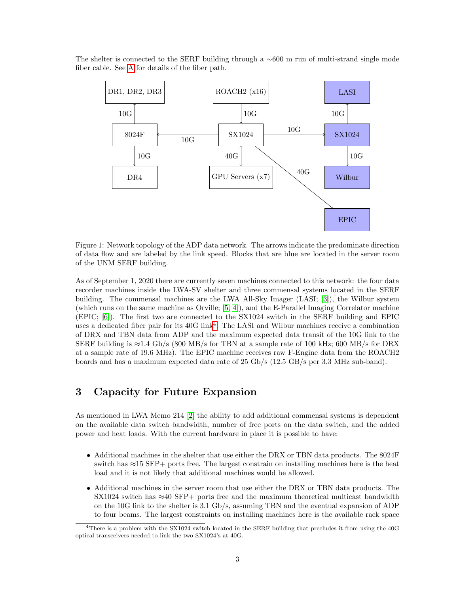The shelter is connected to the SERF building through a ∼600 m run of multi-strand single mode fiber cable. See [A](#page-6-0) for details of the fiber path.



<span id="page-2-1"></span>Figure 1: Network topology of the ADP data network. The arrows indicate the predominate direction of data flow and are labeled by the link speed. Blocks that are blue are located in the server room of the UNM SERF building.

As of September 1, 2020 there are currently seven machines connected to this network: the four data recorder machines inside the LWA-SV shelter and three commensal systems located in the SERF building. The commensal machines are the LWA All-Sky Imager (LASI; [\[3\]](#page-5-2)), the Wilbur system (which runs on the same machine as Orville; [\[5,](#page-5-3) [4\]](#page-5-4)), and the E-Parallel Imaging Correlator machine (EPIC; [\[6\]](#page-5-5)). The first two are connected to the SX1024 switch in the SERF building and EPIC uses a dedicated fiber pair for its [4](#page-2-2)0G link<sup>4</sup>. The LASI and Wilbur machines receive a combination of DRX and TBN data from ADP and the maximum expected data transit of the 10G link to the SERF building is  $\approx$  1.4 Gb/s (800 MB/s for TBN at a sample rate of 100 kHz; 600 MB/s for DRX at a sample rate of 19.6 MHz). The EPIC machine receives raw F-Engine data from the ROACH2 boards and has a maximum expected data rate of 25 Gb/s (12.5 GB/s per 3.3 MHz sub-band).

#### <span id="page-2-0"></span>3 Capacity for Future Expansion

As mentioned in LWA Memo 214 [\[2\]](#page-5-0) the ability to add additional commensal systems is dependent on the available data switch bandwidth, number of free ports on the data switch, and the added power and heat loads. With the current hardware in place it is possible to have:

- Additional machines in the shelter that use either the DRX or TBN data products. The 8024F switch has ≈15 SFP+ ports free. The largest constrain on installing machines here is the heat load and it is not likely that additional machines would be allowed.
- Additional machines in the server room that use either the DRX or TBN data products. The SX1024 switch has  $\approx$ 40 SFP+ ports free and the maximum theoretical multicast bandwidth on the 10G link to the shelter is 3.1 Gb/s, assuming TBN and the eventual expansion of ADP to four beams. The largest constraints on installing machines here is the available rack space

<span id="page-2-2"></span><sup>4</sup>There is a problem with the SX1024 switch located in the SERF building that precludes it from using the 40G optical transceivers needed to link the two SX1024's at 40G.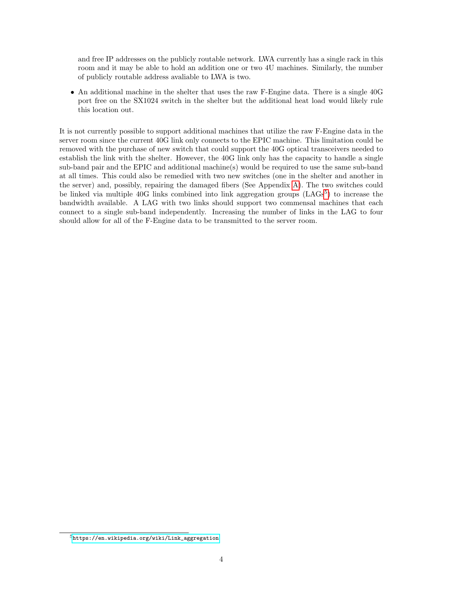and free IP addresses on the publicly routable network. LWA currently has a single rack in this room and it may be able to hold an addition one or two 4U machines. Similarly, the number of publicly routable address avaliable to LWA is two.

• An additional machine in the shelter that uses the raw F-Engine data. There is a single 40G port free on the SX1024 switch in the shelter but the additional heat load would likely rule this location out.

It is not currently possible to support additional machines that utilize the raw F-Engine data in the server room since the current 40G link only connects to the EPIC machine. This limitation could be removed with the purchase of new switch that could support the 40G optical transceivers needed to establish the link with the shelter. However, the 40G link only has the capacity to handle a single sub-band pair and the EPIC and additional machine(s) would be required to use the same sub-band at all times. This could also be remedied with two new switches (one in the shelter and another in the server) and, possibly, repairing the damaged fibers (See Appendix [A\)](#page-6-0). The two switches could be linked via multiple 40G links combined into link aggregation groups (LAGs<sup>[5](#page-3-0)</sup>) to increase the bandwidth available. A LAG with two links should support two commensal machines that each connect to a single sub-band independently. Increasing the number of links in the LAG to four should allow for all of the F-Engine data to be transmitted to the server room.

<span id="page-3-0"></span><sup>5</sup>[https://en.wikipedia.org/wiki/Link\\_aggregation](https://en.wikipedia.org/wiki/Link_aggregation)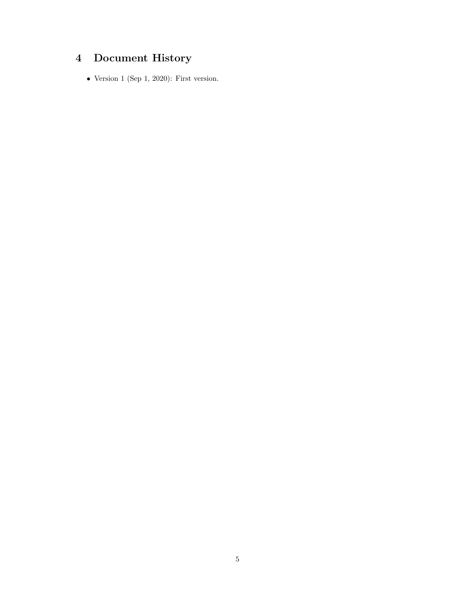# <span id="page-4-0"></span>4 Document History

• Version 1 (Sep 1, 2020): First version.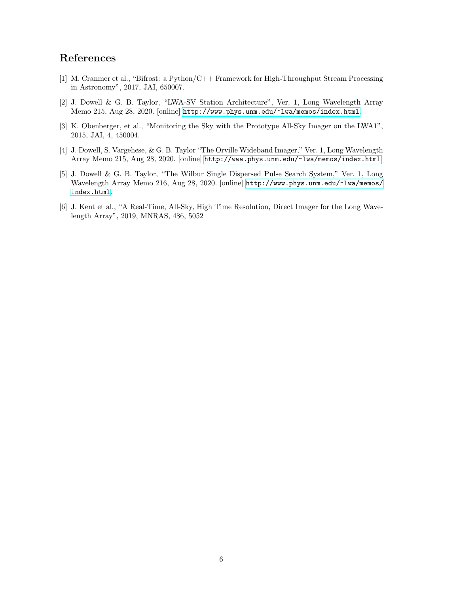### References

- <span id="page-5-1"></span>[1] M. Cranmer et al., "Bifrost: a Python/C++ Framework for High-Throughput Stream Processing in Astronomy", 2017, JAI, 650007.
- <span id="page-5-0"></span>[2] J. Dowell & G. B. Taylor, "LWA-SV Station Architecture", Ver. 1, Long Wavelength Array Memo 215, Aug 28, 2020. [online] <http://www.phys.unm.edu/~lwa/memos/index.html>.
- <span id="page-5-2"></span>[3] K. Obenberger, et al., "Monitoring the Sky with the Prototype All-Sky Imager on the LWA1", 2015, JAI, 4, 450004.
- <span id="page-5-4"></span>[4] J. Dowell, S. Vargehese, & G. B. Taylor "The Orville Wideband Imager," Ver. 1, Long Wavelength Array Memo 215, Aug 28, 2020. [online] <http://www.phys.unm.edu/~lwa/memos/index.html>.
- <span id="page-5-3"></span>[5] J. Dowell & G. B. Taylor, "The Wilbur Single Dispersed Pulse Search System," Ver. 1, Long Wavelength Array Memo 216, Aug 28, 2020. [online] [http://www.phys.unm.edu/~lwa/memos/](http://www.phys.unm.edu/~lwa/memos/index.html) [index.html](http://www.phys.unm.edu/~lwa/memos/index.html).
- <span id="page-5-5"></span>[6] J. Kent et al., "A Real-Time, All-Sky, High Time Resolution, Direct Imager for the Long Wavelength Array", 2019, MNRAS, 486, 5052